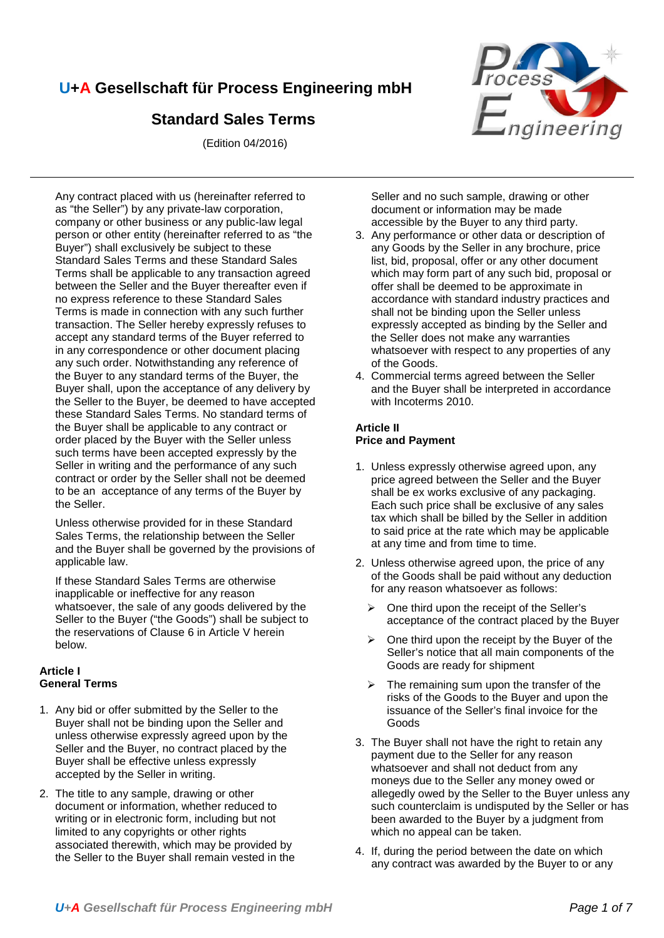# **U+A Gesellschaft für Process Engineering mbH**

# **Standard Sales Terms**

(Edition 04/2016)



Any contract placed with us (hereinafter referred to as "the Seller") by any private-law corporation, company or other business or any public-law legal person or other entity (hereinafter referred to as "the Buyer") shall exclusively be subject to these Standard Sales Terms and these Standard Sales Terms shall be applicable to any transaction agreed between the Seller and the Buyer thereafter even if no express reference to these Standard Sales Terms is made in connection with any such further transaction. The Seller hereby expressly refuses to accept any standard terms of the Buyer referred to in any correspondence or other document placing any such order. Notwithstanding any reference of the Buyer to any standard terms of the Buyer, the Buyer shall, upon the acceptance of any delivery by the Seller to the Buyer, be deemed to have accepted these Standard Sales Terms. No standard terms of the Buyer shall be applicable to any contract or order placed by the Buyer with the Seller unless such terms have been accepted expressly by the Seller in writing and the performance of any such contract or order by the Seller shall not be deemed to be an acceptance of any terms of the Buyer by the Seller.

Unless otherwise provided for in these Standard Sales Terms, the relationship between the Seller and the Buyer shall be governed by the provisions of applicable law.

If these Standard Sales Terms are otherwise inapplicable or ineffective for any reason whatsoever, the sale of any goods delivered by the Seller to the Buyer ("the Goods") shall be subject to the reservations of Clause 6 in Article V herein below.

# **Article I General Terms**

- 1. Any bid or offer submitted by the Seller to the Buyer shall not be binding upon the Seller and unless otherwise expressly agreed upon by the Seller and the Buyer, no contract placed by the Buyer shall be effective unless expressly accepted by the Seller in writing.
- 2. The title to any sample, drawing or other document or information, whether reduced to writing or in electronic form, including but not limited to any copyrights or other rights associated therewith, which may be provided by the Seller to the Buyer shall remain vested in the

Seller and no such sample, drawing or other document or information may be made accessible by the Buyer to any third party.

- 3. Any performance or other data or description of any Goods by the Seller in any brochure, price list, bid, proposal, offer or any other document which may form part of any such bid, proposal or offer shall be deemed to be approximate in accordance with standard industry practices and shall not be binding upon the Seller unless expressly accepted as binding by the Seller and the Seller does not make any warranties whatsoever with respect to any properties of any of the Goods.
- 4. Commercial terms agreed between the Seller and the Buyer shall be interpreted in accordance with Incoterms 2010.

### **Article II Price and Payment**

- 1. Unless expressly otherwise agreed upon, any price agreed between the Seller and the Buyer shall be ex works exclusive of any packaging. Each such price shall be exclusive of any sales tax which shall be billed by the Seller in addition to said price at the rate which may be applicable at any time and from time to time.
- 2. Unless otherwise agreed upon, the price of any of the Goods shall be paid without any deduction for any reason whatsoever as follows:
	- $\triangleright$  One third upon the receipt of the Seller's acceptance of the contract placed by the Buyer
	- $\triangleright$  One third upon the receipt by the Buyer of the Seller's notice that all main components of the Goods are ready for shipment
	- $\triangleright$  The remaining sum upon the transfer of the risks of the Goods to the Buyer and upon the issuance of the Seller's final invoice for the Goods
- 3. The Buyer shall not have the right to retain any payment due to the Seller for any reason whatsoever and shall not deduct from any moneys due to the Seller any money owed or allegedly owed by the Seller to the Buyer unless any such counterclaim is undisputed by the Seller or has been awarded to the Buyer by a judgment from which no appeal can be taken.
- 4. If, during the period between the date on which any contract was awarded by the Buyer to or any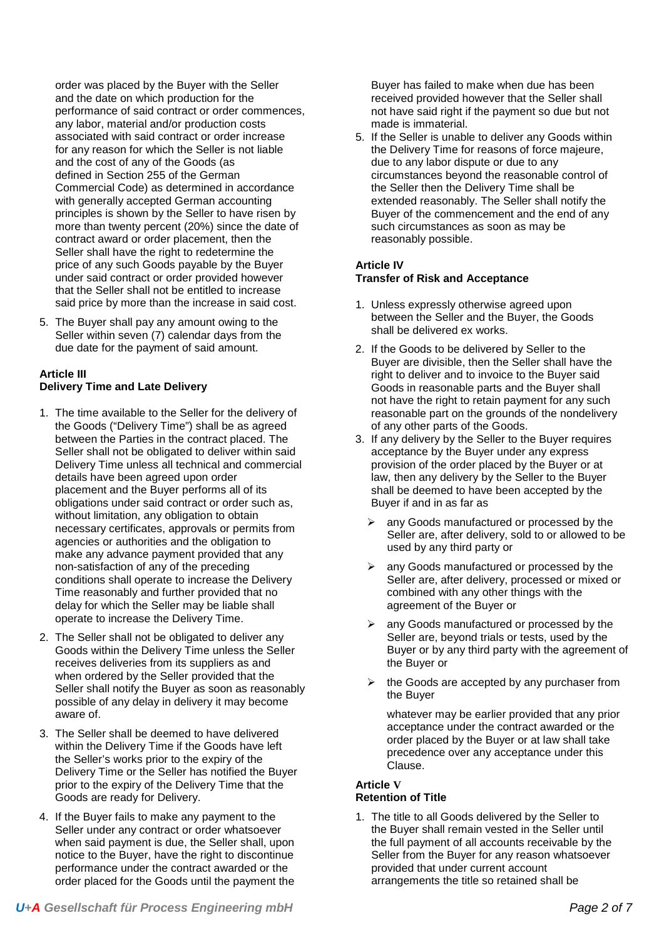order was placed by the Buyer with the Seller and the date on which production for the performance of said contract or order commences, any labor, material and/or production costs associated with said contract or order increase for any reason for which the Seller is not liable and the cost of any of the Goods (as defined in Section 255 of the German Commercial Code) as determined in accordance with generally accepted German accounting principles is shown by the Seller to have risen by more than twenty percent (20%) since the date of contract award or order placement, then the Seller shall have the right to redetermine the price of any such Goods payable by the Buyer under said contract or order provided however that the Seller shall not be entitled to increase said price by more than the increase in said cost.

5. The Buyer shall pay any amount owing to the Seller within seven (7) calendar days from the due date for the payment of said amount.

### **Article III Delivery Time and Late Delivery**

- 1. The time available to the Seller for the delivery of the Goods ("Delivery Time") shall be as agreed between the Parties in the contract placed. The Seller shall not be obligated to deliver within said Delivery Time unless all technical and commercial details have been agreed upon order placement and the Buyer performs all of its obligations under said contract or order such as, without limitation, any obligation to obtain necessary certificates, approvals or permits from agencies or authorities and the obligation to make any advance payment provided that any non-satisfaction of any of the preceding conditions shall operate to increase the Delivery Time reasonably and further provided that no delay for which the Seller may be liable shall operate to increase the Delivery Time.
- 2. The Seller shall not be obligated to deliver any Goods within the Delivery Time unless the Seller receives deliveries from its suppliers as and when ordered by the Seller provided that the Seller shall notify the Buyer as soon as reasonably possible of any delay in delivery it may become aware of.
- 3. The Seller shall be deemed to have delivered within the Delivery Time if the Goods have left the Seller's works prior to the expiry of the Delivery Time or the Seller has notified the Buyer prior to the expiry of the Delivery Time that the Goods are ready for Delivery.
- 4. If the Buyer fails to make any payment to the Seller under any contract or order whatsoever when said payment is due, the Seller shall, upon notice to the Buyer, have the right to discontinue performance under the contract awarded or the order placed for the Goods until the payment the

Buyer has failed to make when due has been received provided however that the Seller shall not have said right if the payment so due but not made is immaterial.

5. If the Seller is unable to deliver any Goods within the Delivery Time for reasons of force majeure, due to any labor dispute or due to any circumstances beyond the reasonable control of the Seller then the Delivery Time shall be extended reasonably. The Seller shall notify the Buyer of the commencement and the end of any such circumstances as soon as may be reasonably possible.

# **Article IV**

# **Transfer of Risk and Acceptance**

- 1. Unless expressly otherwise agreed upon between the Seller and the Buyer, the Goods shall be delivered ex works.
- 2. If the Goods to be delivered by Seller to the Buyer are divisible, then the Seller shall have the right to deliver and to invoice to the Buyer said Goods in reasonable parts and the Buyer shall not have the right to retain payment for any such reasonable part on the grounds of the nondelivery of any other parts of the Goods.
- 3. If any delivery by the Seller to the Buyer requires acceptance by the Buyer under any express provision of the order placed by the Buyer or at law, then any delivery by the Seller to the Buyer shall be deemed to have been accepted by the Buyer if and in as far as
	- any Goods manufactured or processed by the Seller are, after delivery, sold to or allowed to be used by any third party or
	- $\triangleright$  any Goods manufactured or processed by the Seller are, after delivery, processed or mixed or combined with any other things with the agreement of the Buyer or
	- any Goods manufactured or processed by the Seller are, beyond trials or tests, used by the Buyer or by any third party with the agreement of the Buyer or
	- the Goods are accepted by any purchaser from the Buyer

whatever may be earlier provided that any prior acceptance under the contract awarded or the order placed by the Buyer or at law shall take precedence over any acceptance under this Clause.

#### **Article V Retention of Title**

1. The title to all Goods delivered by the Seller to the Buyer shall remain vested in the Seller until the full payment of all accounts receivable by the Seller from the Buyer for any reason whatsoever provided that under current account arrangements the title so retained shall be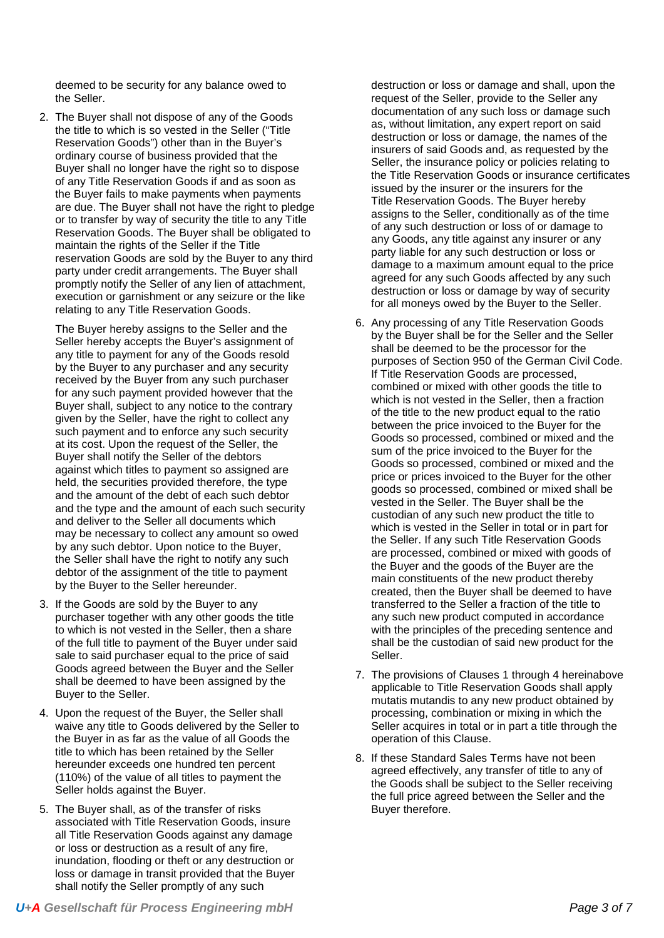deemed to be security for any balance owed to the Seller.

2. The Buyer shall not dispose of any of the Goods the title to which is so vested in the Seller ("Title Reservation Goods") other than in the Buyer's ordinary course of business provided that the Buyer shall no longer have the right so to dispose of any Title Reservation Goods if and as soon as the Buyer fails to make payments when payments are due. The Buyer shall not have the right to pledge or to transfer by way of security the title to any Title Reservation Goods. The Buyer shall be obligated to maintain the rights of the Seller if the Title reservation Goods are sold by the Buyer to any third party under credit arrangements. The Buyer shall promptly notify the Seller of any lien of attachment, execution or garnishment or any seizure or the like relating to any Title Reservation Goods.

The Buyer hereby assigns to the Seller and the Seller hereby accepts the Buyer's assignment of any title to payment for any of the Goods resold by the Buyer to any purchaser and any security received by the Buyer from any such purchaser for any such payment provided however that the Buyer shall, subject to any notice to the contrary given by the Seller, have the right to collect any such payment and to enforce any such security at its cost. Upon the request of the Seller, the Buyer shall notify the Seller of the debtors against which titles to payment so assigned are held, the securities provided therefore, the type and the amount of the debt of each such debtor and the type and the amount of each such security and deliver to the Seller all documents which may be necessary to collect any amount so owed by any such debtor. Upon notice to the Buyer, the Seller shall have the right to notify any such debtor of the assignment of the title to payment by the Buyer to the Seller hereunder.

- 3. If the Goods are sold by the Buyer to any purchaser together with any other goods the title to which is not vested in the Seller, then a share of the full title to payment of the Buyer under said sale to said purchaser equal to the price of said Goods agreed between the Buyer and the Seller shall be deemed to have been assigned by the Buyer to the Seller.
- 4. Upon the request of the Buyer, the Seller shall waive any title to Goods delivered by the Seller to the Buyer in as far as the value of all Goods the title to which has been retained by the Seller hereunder exceeds one hundred ten percent (110%) of the value of all titles to payment the Seller holds against the Buyer.
- 5. The Buyer shall, as of the transfer of risks associated with Title Reservation Goods, insure all Title Reservation Goods against any damage or loss or destruction as a result of any fire, inundation, flooding or theft or any destruction or loss or damage in transit provided that the Buyer shall notify the Seller promptly of any such

destruction or loss or damage and shall, upon the request of the Seller, provide to the Seller any documentation of any such loss or damage such as, without limitation, any expert report on said destruction or loss or damage, the names of the insurers of said Goods and, as requested by the Seller, the insurance policy or policies relating to the Title Reservation Goods or insurance certificates issued by the insurer or the insurers for the Title Reservation Goods. The Buyer hereby assigns to the Seller, conditionally as of the time of any such destruction or loss of or damage to any Goods, any title against any insurer or any party liable for any such destruction or loss or damage to a maximum amount equal to the price agreed for any such Goods affected by any such destruction or loss or damage by way of security for all moneys owed by the Buyer to the Seller.

- 6. Any processing of any Title Reservation Goods by the Buyer shall be for the Seller and the Seller shall be deemed to be the processor for the purposes of Section 950 of the German Civil Code. If Title Reservation Goods are processed, combined or mixed with other goods the title to which is not vested in the Seller, then a fraction of the title to the new product equal to the ratio between the price invoiced to the Buyer for the Goods so processed, combined or mixed and the sum of the price invoiced to the Buyer for the Goods so processed, combined or mixed and the price or prices invoiced to the Buyer for the other goods so processed, combined or mixed shall be vested in the Seller. The Buyer shall be the custodian of any such new product the title to which is vested in the Seller in total or in part for the Seller. If any such Title Reservation Goods are processed, combined or mixed with goods of the Buyer and the goods of the Buyer are the main constituents of the new product thereby created, then the Buyer shall be deemed to have transferred to the Seller a fraction of the title to any such new product computed in accordance with the principles of the preceding sentence and shall be the custodian of said new product for the Seller.
- 7. The provisions of Clauses 1 through 4 hereinabove applicable to Title Reservation Goods shall apply mutatis mutandis to any new product obtained by processing, combination or mixing in which the Seller acquires in total or in part a title through the operation of this Clause.
- 8. If these Standard Sales Terms have not been agreed effectively, any transfer of title to any of the Goods shall be subject to the Seller receiving the full price agreed between the Seller and the Buyer therefore.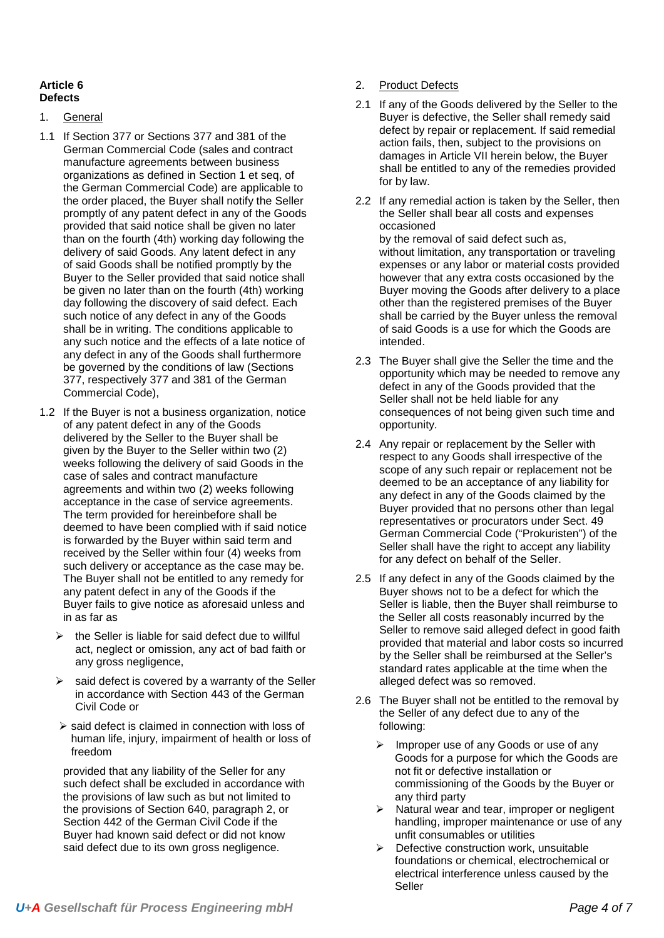### **Article 6 Defects**

- 1. General
- 1.1 If Section 377 or Sections 377 and 381 of the German Commercial Code (sales and contract manufacture agreements between business organizations as defined in Section 1 et seq, of the German Commercial Code) are applicable to the order placed, the Buyer shall notify the Seller promptly of any patent defect in any of the Goods provided that said notice shall be given no later than on the fourth (4th) working day following the delivery of said Goods. Any latent defect in any of said Goods shall be notified promptly by the Buyer to the Seller provided that said notice shall be given no later than on the fourth (4th) working day following the discovery of said defect. Each such notice of any defect in any of the Goods shall be in writing. The conditions applicable to any such notice and the effects of a late notice of any defect in any of the Goods shall furthermore be governed by the conditions of law (Sections 377, respectively 377 and 381 of the German Commercial Code),
- 1.2 If the Buyer is not a business organization, notice of any patent defect in any of the Goods delivered by the Seller to the Buyer shall be given by the Buyer to the Seller within two (2) weeks following the delivery of said Goods in the case of sales and contract manufacture agreements and within two (2) weeks following acceptance in the case of service agreements. The term provided for hereinbefore shall be deemed to have been complied with if said notice is forwarded by the Buyer within said term and received by the Seller within four (4) weeks from such delivery or acceptance as the case may be. The Buyer shall not be entitled to any remedy for any patent defect in any of the Goods if the Buyer fails to give notice as aforesaid unless and in as far as
	- the Seller is liable for said defect due to willful act, neglect or omission, any act of bad faith or any gross negligence,
	- said defect is covered by a warranty of the Seller in accordance with Section 443 of the German Civil Code or
	- $\ge$  said defect is claimed in connection with loss of human life, injury, impairment of health or loss of freedom

provided that any liability of the Seller for any such defect shall be excluded in accordance with the provisions of law such as but not limited to the provisions of Section 640, paragraph 2, or Section 442 of the German Civil Code if the Buyer had known said defect or did not know said defect due to its own gross negligence.

#### 2. Product Defects

- 2.1 If any of the Goods delivered by the Seller to the Buyer is defective, the Seller shall remedy said defect by repair or replacement. If said remedial action fails, then, subject to the provisions on damages in Article VII herein below, the Buyer shall be entitled to any of the remedies provided for by law.
- 2.2 If any remedial action is taken by the Seller, then the Seller shall bear all costs and expenses occasioned by the removal of said defect such as, without limitation, any transportation or traveling expenses or any labor or material costs provided however that any extra costs occasioned by the Buyer moving the Goods after delivery to a place other than the registered premises of the Buyer shall be carried by the Buyer unless the removal of said Goods is a use for which the Goods are intended.
- 2.3 The Buyer shall give the Seller the time and the opportunity which may be needed to remove any defect in any of the Goods provided that the Seller shall not be held liable for any consequences of not being given such time and opportunity.
- 2.4 Any repair or replacement by the Seller with respect to any Goods shall irrespective of the scope of any such repair or replacement not be deemed to be an acceptance of any liability for any defect in any of the Goods claimed by the Buyer provided that no persons other than legal representatives or procurators under Sect. 49 German Commercial Code ("Prokuristen") of the Seller shall have the right to accept any liability for any defect on behalf of the Seller.
- 2.5 If any defect in any of the Goods claimed by the Buyer shows not to be a defect for which the Seller is liable, then the Buyer shall reimburse to the Seller all costs reasonably incurred by the Seller to remove said alleged defect in good faith provided that material and labor costs so incurred by the Seller shall be reimbursed at the Seller's standard rates applicable at the time when the alleged defect was so removed.
- 2.6 The Buyer shall not be entitled to the removal by the Seller of any defect due to any of the following:
	- > Improper use of any Goods or use of any Goods for a purpose for which the Goods are not fit or defective installation or commissioning of the Goods by the Buyer or any third party
	- $\triangleright$  Natural wear and tear, improper or negligent handling, improper maintenance or use of any unfit consumables or utilities
	- $\triangleright$  Defective construction work, unsuitable foundations or chemical, electrochemical or electrical interference unless caused by the Seller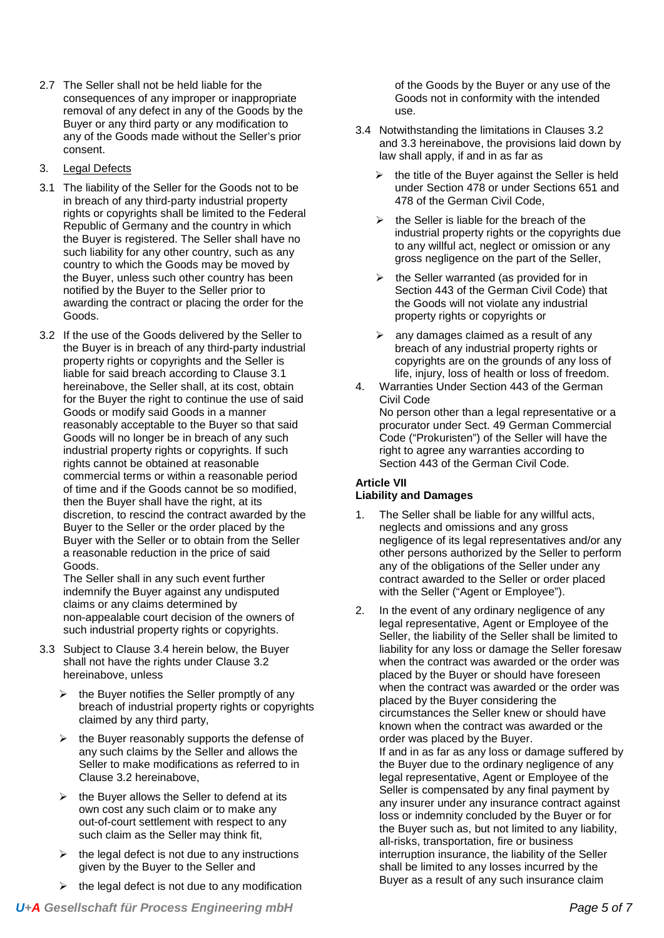- 2.7 The Seller shall not be held liable for the consequences of any improper or inappropriate removal of any defect in any of the Goods by the Buyer or any third party or any modification to any of the Goods made without the Seller's prior consent.
- 3. Legal Defects
- 3.1 The liability of the Seller for the Goods not to be in breach of any third-party industrial property rights or copyrights shall be limited to the Federal Republic of Germany and the country in which the Buyer is registered. The Seller shall have no such liability for any other country, such as any country to which the Goods may be moved by the Buyer, unless such other country has been notified by the Buyer to the Seller prior to awarding the contract or placing the order for the Goods.
- 3.2 If the use of the Goods delivered by the Seller to the Buyer is in breach of any third-party industrial property rights or copyrights and the Seller is liable for said breach according to Clause 3.1 hereinabove, the Seller shall, at its cost, obtain for the Buyer the right to continue the use of said Goods or modify said Goods in a manner reasonably acceptable to the Buyer so that said Goods will no longer be in breach of any such industrial property rights or copyrights. If such rights cannot be obtained at reasonable commercial terms or within a reasonable period of time and if the Goods cannot be so modified, then the Buyer shall have the right, at its discretion, to rescind the contract awarded by the Buyer to the Seller or the order placed by the Buyer with the Seller or to obtain from the Seller a reasonable reduction in the price of said Goods.

The Seller shall in any such event further indemnify the Buyer against any undisputed claims or any claims determined by non-appealable court decision of the owners of such industrial property rights or copyrights.

- 3.3 Subject to Clause 3.4 herein below, the Buyer shall not have the rights under Clause 3.2 hereinabove, unless
	- $\triangleright$  the Buyer notifies the Seller promptly of any breach of industrial property rights or copyrights claimed by any third party,
	- $\triangleright$  the Buver reasonably supports the defense of any such claims by the Seller and allows the Seller to make modifications as referred to in Clause 3.2 hereinabove,
	- $\triangleright$  the Buyer allows the Seller to defend at its own cost any such claim or to make any out-of-court settlement with respect to any such claim as the Seller may think fit,
	- $\triangleright$  the legal defect is not due to any instructions given by the Buyer to the Seller and
	- the legal defect is not due to any modification

of the Goods by the Buyer or any use of the Goods not in conformity with the intended use.

- 3.4 Notwithstanding the limitations in Clauses 3.2 and 3.3 hereinabove, the provisions laid down by law shall apply, if and in as far as
	- the title of the Buyer against the Seller is held under Section 478 or under Sections 651 and 478 of the German Civil Code,
	- $\triangleright$  the Seller is liable for the breach of the industrial property rights or the copyrights due to any willful act, neglect or omission or any gross negligence on the part of the Seller,
	- $\triangleright$  the Seller warranted (as provided for in Section 443 of the German Civil Code) that the Goods will not violate any industrial property rights or copyrights or
	- any damages claimed as a result of any breach of any industrial property rights or copyrights are on the grounds of any loss of life, injury, loss of health or loss of freedom.
- 4. Warranties Under Section 443 of the German Civil Code No person other than a legal representative or a procurator under Sect. 49 German Commercial Code ("Prokuristen") of the Seller will have the right to agree any warranties according to Section 443 of the German Civil Code.

# **Article VII Liability and Damages**

- 1. The Seller shall be liable for any willful acts, neglects and omissions and any gross negligence of its legal representatives and/or any other persons authorized by the Seller to perform any of the obligations of the Seller under any contract awarded to the Seller or order placed with the Seller ("Agent or Employee").
- 2. In the event of any ordinary negligence of any legal representative, Agent or Employee of the Seller, the liability of the Seller shall be limited to liability for any loss or damage the Seller foresaw when the contract was awarded or the order was placed by the Buyer or should have foreseen when the contract was awarded or the order was placed by the Buyer considering the circumstances the Seller knew or should have known when the contract was awarded or the order was placed by the Buyer. If and in as far as any loss or damage suffered by the Buyer due to the ordinary negligence of any legal representative, Agent or Employee of the Seller is compensated by any final payment by any insurer under any insurance contract against loss or indemnity concluded by the Buyer or for the Buyer such as, but not limited to any liability, all-risks, transportation, fire or business interruption insurance, the liability of the Seller shall be limited to any losses incurred by the Buyer as a result of any such insurance claim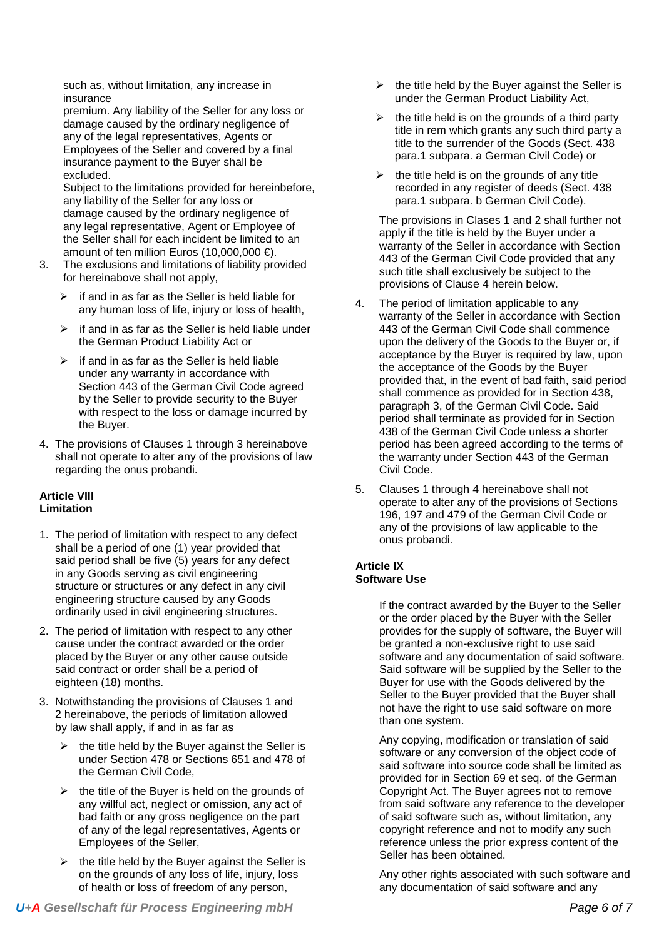such as, without limitation, any increase in insurance

premium. Any liability of the Seller for any loss or damage caused by the ordinary negligence of any of the legal representatives, Agents or Employees of the Seller and covered by a final insurance payment to the Buyer shall be excluded.

Subject to the limitations provided for hereinbefore, any liability of the Seller for any loss or damage caused by the ordinary negligence of any legal representative, Agent or Employee of the Seller shall for each incident be limited to an amount of ten million Euros (10,000,000 €).

- 3. The exclusions and limitations of liability provided for hereinabove shall not apply,
	- if and in as far as the Seller is held liable for any human loss of life, injury or loss of health,
	- $\triangleright$  if and in as far as the Seller is held liable under the German Product Liability Act or
	- if and in as far as the Seller is held liable under any warranty in accordance with Section 443 of the German Civil Code agreed by the Seller to provide security to the Buyer with respect to the loss or damage incurred by the Buyer.
- 4. The provisions of Clauses 1 through 3 hereinabove shall not operate to alter any of the provisions of law regarding the onus probandi.

# **Article VIII Limitation**

- 1. The period of limitation with respect to any defect shall be a period of one (1) year provided that said period shall be five (5) years for any defect in any Goods serving as civil engineering structure or structures or any defect in any civil engineering structure caused by any Goods ordinarily used in civil engineering structures.
- 2. The period of limitation with respect to any other cause under the contract awarded or the order placed by the Buyer or any other cause outside said contract or order shall be a period of eighteen (18) months.
- 3. Notwithstanding the provisions of Clauses 1 and 2 hereinabove, the periods of limitation allowed by law shall apply, if and in as far as
	- $\triangleright$  the title held by the Buyer against the Seller is under Section 478 or Sections 651 and 478 of the German Civil Code,
	- the title of the Buyer is held on the grounds of any willful act, neglect or omission, any act of bad faith or any gross negligence on the part of any of the legal representatives, Agents or Employees of the Seller,
	- the title held by the Buyer against the Seller is on the grounds of any loss of life, injury, loss of health or loss of freedom of any person,
- the title held by the Buyer against the Seller is under the German Product Liability Act,
- $\triangleright$  the title held is on the grounds of a third party title in rem which grants any such third party a title to the surrender of the Goods (Sect. 438 para.1 subpara. a German Civil Code) or
- the title held is on the grounds of any title recorded in any register of deeds (Sect. 438 para.1 subpara. b German Civil Code).

The provisions in Clases 1 and 2 shall further not apply if the title is held by the Buyer under a warranty of the Seller in accordance with Section 443 of the German Civil Code provided that any such title shall exclusively be subject to the provisions of Clause 4 herein below.

- 4. The period of limitation applicable to any warranty of the Seller in accordance with Section 443 of the German Civil Code shall commence upon the delivery of the Goods to the Buyer or, if acceptance by the Buyer is required by law, upon the acceptance of the Goods by the Buyer provided that, in the event of bad faith, said period shall commence as provided for in Section 438, paragraph 3, of the German Civil Code. Said period shall terminate as provided for in Section 438 of the German Civil Code unless a shorter period has been agreed according to the terms of the warranty under Section 443 of the German Civil Code.
- 5. Clauses 1 through 4 hereinabove shall not operate to alter any of the provisions of Sections 196, 197 and 479 of the German Civil Code or any of the provisions of law applicable to the onus probandi.

# **Article IX Software Use**

If the contract awarded by the Buyer to the Seller or the order placed by the Buyer with the Seller provides for the supply of software, the Buyer will be granted a non-exclusive right to use said software and any documentation of said software. Said software will be supplied by the Seller to the Buyer for use with the Goods delivered by the Seller to the Buyer provided that the Buyer shall not have the right to use said software on more than one system.

Any copying, modification or translation of said software or any conversion of the object code of said software into source code shall be limited as provided for in Section 69 et seq. of the German Copyright Act. The Buyer agrees not to remove from said software any reference to the developer of said software such as, without limitation, any copyright reference and not to modify any such reference unless the prior express content of the Seller has been obtained.

Any other rights associated with such software and any documentation of said software and any